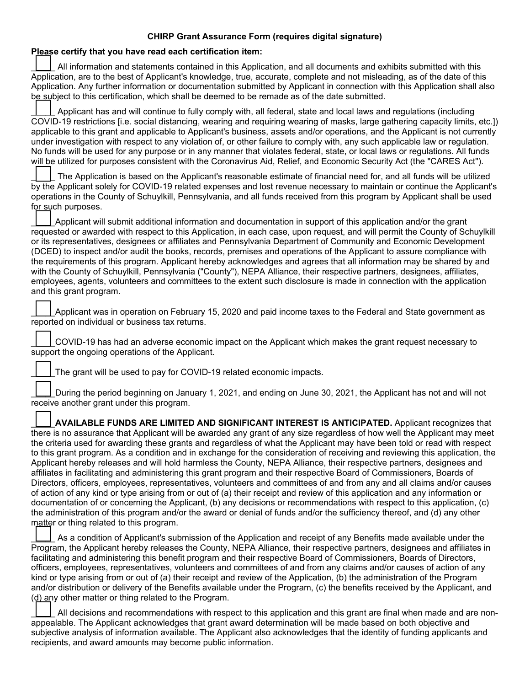## **CHIRP Grant Assurance Form (requires digital signature)**

## **Please certify that you have read each certification item:** All information and statements contained in this Application, and all documents and exhibits submitted with this Application, are to the best of Applicant's knowledge, true, accurate, complete and not misleading, as of the date of this Application. Any further information or documentation submitted by Applicant in connection with this Application shall also be subject to this certification, which shall be deemed to be remade as of the date submitted. Applicant has and will continue to fully comply with, all federal, state and local laws and regulations (including COVID-19 restrictions [i.e. social distancing, wearing and requiring wearing of masks, large gathering capacity limits, etc.]) applicable to this grant and applicable to Applicant's business, assets and/or operations, and the Applicant is not currently under investigation with respect to any violation of, or other failure to comply with, any such applicable law or regulation. No funds will be used for any purpose or in any manner that violates federal, state, or local laws or regulations. All funds will be utilized for purposes consistent with the Coronavirus Aid, Relief, and Economic Security Act (the "CARES Act"). \_\_\_\_\_ The Application is based on the Applicant's reasonable estimate of financial need for, and all funds will be utilized by the Applicant solely for COVID-19 related expenses and lost revenue necessary to maintain or continue the Applicant's operations in the County of Schuylkill, Pennsylvania, and all funds received from this program by Applicant shall be used for such purposes. \_\_\_\_\_Applicant will submit additional information and documentation in support of this application and/or the grant requested or awarded with respect to this Application, in each case, upon request, and will permit the County of Schuylkill or its representatives, designees or affiliates and Pennsylvania Department of Community and Economic Development (DCED) to inspect and/or audit the books, records, premises and operations of the Applicant to assure compliance with the requirements of this program. Applicant hereby acknowledges and agrees that all information may be shared by and with the County of Schuylkill, Pennsylvania ("County"), NEPA Alliance, their respective partners, designees, affiliates, employees, agents, volunteers and committees to the extent such disclosure is made in connection with the application and this grant program. Applicant was in operation on February 15, 2020 and paid income taxes to the Federal and State government as reported on individual or business tax returns. \_\_\_\_\_COVID-19 has had an adverse economic impact on the Applicant which makes the grant request necessary to support the ongoing operations of the Applicant. The grant will be used to pay for COVID-19 related economic impacts. During the period beginning on January 1, 2021, and ending on June 30, 2021, the Applicant has not and will not receive another grant under this program. **\_\_\_\_\_AVAILABLE FUNDS ARE LIMITED AND SIGNIFICANT INTEREST IS ANTICIPATED.** Applicant recognizes that there is no assurance that Applicant will be awarded any grant of any size regardless of how well the Applicant may meet the criteria used for awarding these grants and regardless of what the Applicant may have been told or read with respect to this grant program. As a condition and in exchange for the consideration of receiving and reviewing this application, the Applicant hereby releases and will hold harmless the County, NEPA Alliance, their respective partners, designees and affiliates in facilitating and administering this grant program and their respective Board of Commissioners, Boards of Directors, officers, employees, representatives, volunteers and committees of and from any and all claims and/or causes of action of any kind or type arising from or out of (a) their receipt and review of this application and any information or documentation of or concerning the Applicant, (b) any decisions or recommendations with respect to this application, (c) the administration of this program and/or the award or denial of funds and/or the sufficiency thereof, and (d) any other matter or thing related to this program. As a condition of Applicant's submission of the Application and receipt of any Benefits made available under the Program, the Applicant hereby releases the County, NEPA Alliance, their respective partners, designees and affiliates in facilitating and administering this benefit program and their respective Board of Commissioners, Boards of Directors, officers, employees, representatives, volunteers and committees of and from any claims and/or causes of action of any kind or type arising from or out of (a) their receipt and review of the Application, (b) the administration of the Program and/or distribution or delivery of the Benefits available under the Program, (c) the benefits received by the Applicant, and (d) any other matter or thing related to the Program. All decisions and recommendations with respect to this application and this grant are final when made and are non-

appealable. The Applicant acknowledges that grant award determination will be made based on both objective and subjective analysis of information available. The Applicant also acknowledges that the identity of funding applicants and recipients, and award amounts may become public information.